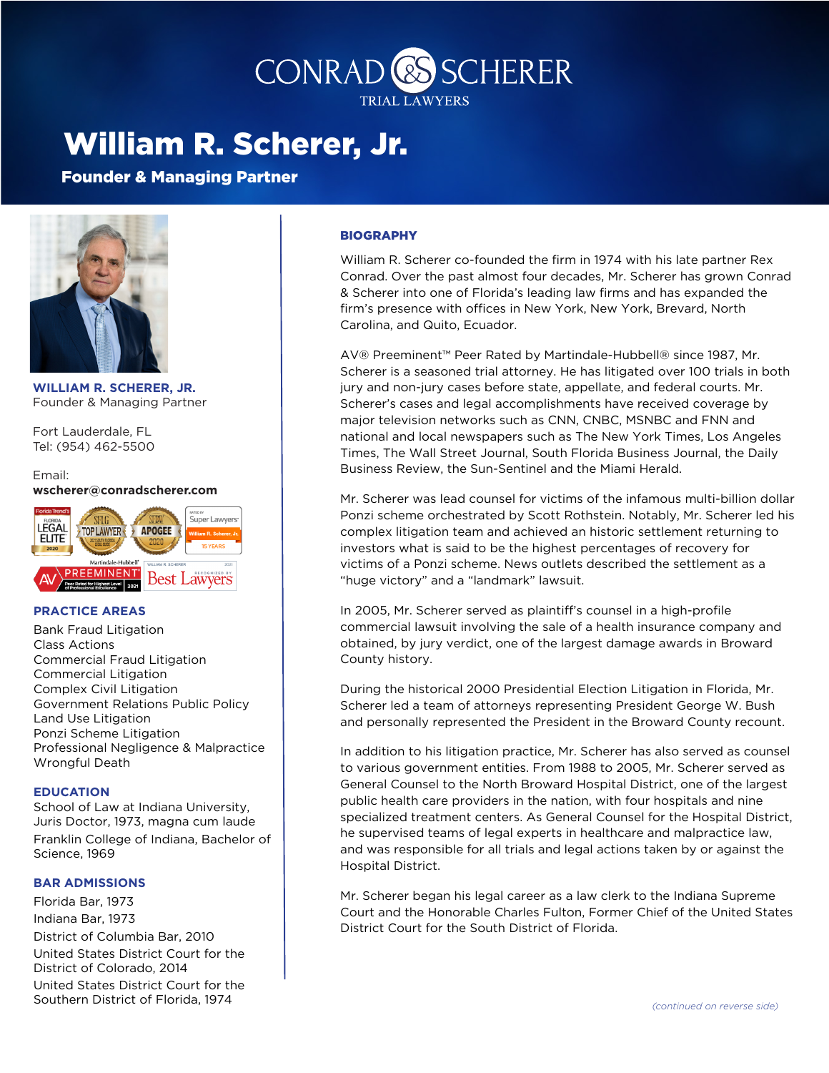

## William R. Scherer, Jr.

Founder & Managing Partner



**WILLIAM R. SCHERER, JR.** Founder & Managing Partner

Fort Lauderdale, FL Tel: (954) 462-5500

#### Email: **wscherer@conradscherer.com**



### **PRACTICE AREAS**

**Bank Fraud Litigation Class Actions Commercial Fraud Litigation Commercial Litigation** Complex Civil Litigation Government Relations Public Policy Land Use Litigation Ponzi Scheme Litigation Professional Negligence & Malpractice Wrongful Death

#### **EDUCATION**

School of Law at Indiana University, Juris Doctor, 1973, magna cum laude Franklin College of Indiana, Bachelor of Science, 1969

#### **BAR ADMISSIONS**

Florida Bar, 1973 Indiana Bar, 1973 District of Columbia Bar, 2010 United States District Court for the District of Colorado, 2014 United States District Court for the Southern District of Florida, 1974

#### BIOGRAPHY

William R. Scherer co-founded the firm in 1974 with his late partner Rex Conrad. Over the past almost four decades, Mr. Scherer has grown Conrad & Scherer into one of Florida's leading law firms and has expanded the firm's presence with offices in New York, New York, Brevard, North Carolina, and Quito, Ecuador.

AV® Preeminent™ Peer Rated by Martindale-Hubbell® since 1987, Mr. Scherer is a seasoned trial attorney. He has litigated over 100 trials in both jury and non-jury cases before state, appellate, and federal courts. Mr. Scherer's cases and legal accomplishments have received coverage by major television networks such as CNN, CNBC, MSNBC and FNN and national and local newspapers such as The New York Times, Los Angeles Times, The Wall Street Journal, South Florida Business Journal, the Daily Business Review, the Sun-Sentinel and the Miami Herald.

Mr. Scherer was lead counsel for victims of the infamous multi-billion dollar Ponzi scheme orchestrated by Scott Rothstein. Notably, Mr. Scherer led his complex litigation team and achieved an historic settlement returning to investors what is said to be the highest percentages of recovery for victims of a Ponzi scheme. News outlets described the settlement as a "huge victory" and a "landmark" lawsuit.

In 2005, Mr. Scherer served as plaintiff's counsel in a high-profile commercial lawsuit involving the sale of a health insurance company and obtained, by jury verdict, one of the largest damage awards in Broward County history.

During the historical 2000 Presidential Election Litigation in Florida, Mr. Scherer led a team of attorneys representing President George W. Bush and personally represented the President in the Broward County recount.

In addition to his litigation practice, Mr. Scherer has also served as counsel to various government entities. From 1988 to 2005, Mr. Scherer served as General Counsel to the North Broward Hospital District, one of the largest public health care providers in the nation, with four hospitals and nine specialized treatment centers. As General Counsel for the Hospital District, he supervised teams of legal experts in healthcare and malpractice law, and was responsible for all trials and legal actions taken by or against the Hospital District.

Mr. Scherer began his legal career as a law clerk to the Indiana Supreme Court and the Honorable Charles Fulton, Former Chief of the United States District Court for the South District of Florida.